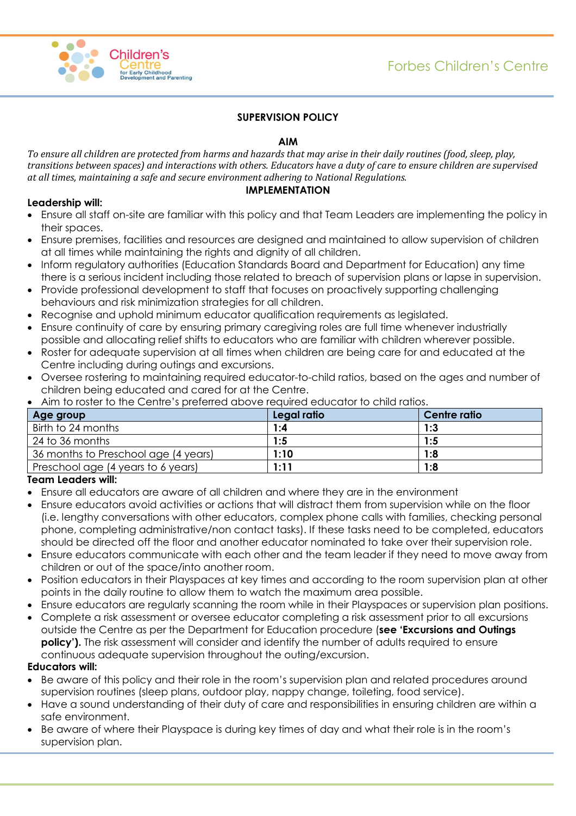



# **SUPERVISION POLICY**

## **AIM**

*To ensure all children are protected from harms and hazards that may arise in their daily routines (food, sleep, play, transitions between spaces) and interactions with others. Educators have a duty of care to ensure children are supervised at all times, maintaining a safe and secure environment adhering to National Regulations.* 

## **IMPLEMENTATION**

## **Leadership will:**

- Ensure all staff on-site are familiar with this policy and that Team Leaders are implementing the policy in their spaces.
- Ensure premises, facilities and resources are designed and maintained to allow supervision of children at all times while maintaining the rights and dignity of all children.
- Inform regulatory authorities (Education Standards Board and Department for Education) any time there is a serious incident including those related to breach of supervision plans or lapse in supervision.
- Provide professional development to staff that focuses on proactively supporting challenging behaviours and risk minimization strategies for all children.
- Recognise and uphold minimum educator qualification requirements as legislated.
- Ensure continuity of care by ensuring primary caregiving roles are full time whenever industrially possible and allocating relief shifts to educators who are familiar with children wherever possible.
- Roster for adequate supervision at all times when children are being care for and educated at the Centre including during outings and excursions.
- Oversee rostering to maintaining required educator-to-child ratios, based on the ages and number of children being educated and cared for at the Centre.

| Age group                            | Legal ratio | Centre ratio |
|--------------------------------------|-------------|--------------|
| Birth to 24 months                   | 1:4         | 1:3          |
| 24 to 36 months                      | 1:5         | 1:5          |
| 36 months to Preschool age (4 years) | 1:10        | 1:8          |
| Preschool age (4 years to 6 years)   | 1:11        | 1:8          |

Aim to roster to the Centre's preferred above required educator to child ratios.

#### **Team Leaders will:**

- Ensure all educators are aware of all children and where they are in the environment
- Ensure educators avoid activities or actions that will distract them from supervision while on the floor (i.e. lengthy conversations with other educators, complex phone calls with families, checking personal phone, completing administrative/non contact tasks). If these tasks need to be completed, educators should be directed off the floor and another educator nominated to take over their supervision role.
- Ensure educators communicate with each other and the team leader if they need to move away from children or out of the space/into another room.
- Position educators in their Playspaces at key times and according to the room supervision plan at other points in the daily routine to allow them to watch the maximum area possible.
- Ensure educators are regularly scanning the room while in their Playspaces or supervision plan positions. Complete a risk assessment or oversee educator completing a risk assessment prior to all excursions
- outside the Centre as per the Department for Education procedure (**see 'Excursions and Outings policy').** The risk assessment will consider and identify the number of adults required to ensure continuous adequate supervision throughout the outing/excursion.

#### **Educators will:**

- Be aware of this policy and their role in the room's supervision plan and related procedures around supervision routines (sleep plans, outdoor play, nappy change, toileting, food service).
- Have a sound understanding of their duty of care and responsibilities in ensuring children are within a safe environment.
- Be aware of where their Playspace is during key times of day and what their role is in the room's supervision plan.